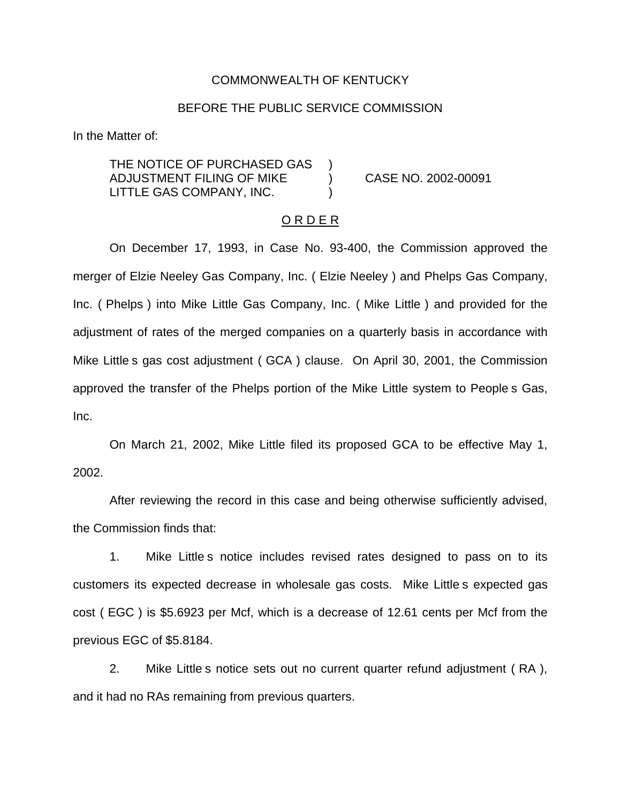## COMMONWEALTH OF KENTUCKY

### BEFORE THE PUBLIC SERVICE COMMISSION

In the Matter of:

THE NOTICE OF PURCHASED GAS ADJUSTMENT FILING OF MIKE ) CASE NO. 2002-00091 LITTLE GAS COMPANY, INC.

#### O R D E R

On December 17, 1993, in Case No. 93-400, the Commission approved the merger of Elzie Neeley Gas Company, Inc. ( Elzie Neeley ) and Phelps Gas Company, Inc. ( Phelps ) into Mike Little Gas Company, Inc. ( Mike Little ) and provided for the adjustment of rates of the merged companies on a quarterly basis in accordance with Mike Little s gas cost adjustment ( GCA ) clause. On April 30, 2001, the Commission approved the transfer of the Phelps portion of the Mike Little system to People s Gas, Inc.

On March 21, 2002, Mike Little filed its proposed GCA to be effective May 1, 2002.

After reviewing the record in this case and being otherwise sufficiently advised, the Commission finds that:

1. Mike Little s notice includes revised rates designed to pass on to its customers its expected decrease in wholesale gas costs. Mike Little s expected gas cost ( EGC ) is \$5.6923 per Mcf, which is a decrease of 12.61 cents per Mcf from the previous EGC of \$5.8184.

2. Mike Little s notice sets out no current quarter refund adjustment ( RA ), and it had no RAs remaining from previous quarters.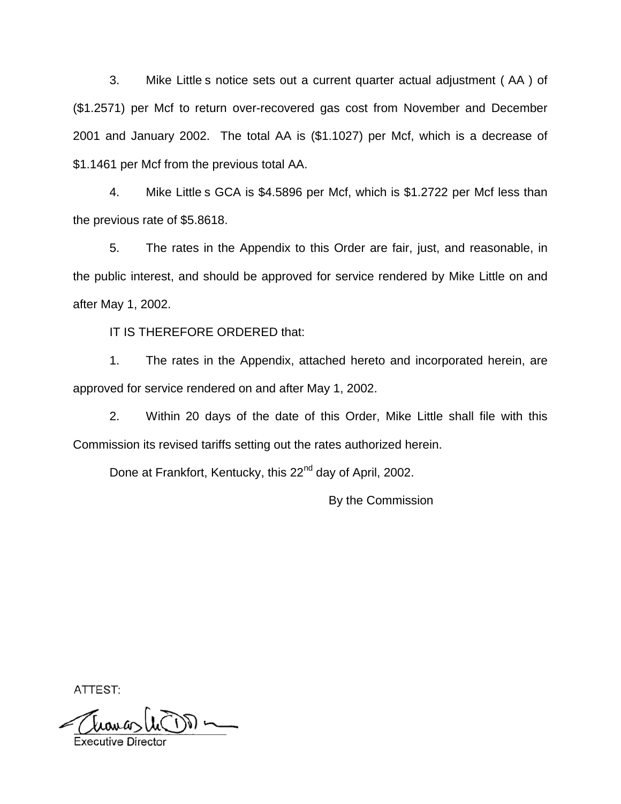3. Mike Little s notice sets out a current quarter actual adjustment ( AA ) of (\$1.2571) per Mcf to return over-recovered gas cost from November and December 2001 and January 2002. The total AA is (\$1.1027) per Mcf, which is a decrease of \$1.1461 per Mcf from the previous total AA.

4. Mike Little s GCA is \$4.5896 per Mcf, which is \$1.2722 per Mcf less than the previous rate of \$5.8618.

5. The rates in the Appendix to this Order are fair, just, and reasonable, in the public interest, and should be approved for service rendered by Mike Little on and after May 1, 2002.

IT IS THEREFORE ORDERED that:

1. The rates in the Appendix, attached hereto and incorporated herein, are approved for service rendered on and after May 1, 2002.

2. Within 20 days of the date of this Order, Mike Little shall file with this Commission its revised tariffs setting out the rates authorized herein.

Done at Frankfort, Kentucky, this 22<sup>nd</sup> day of April, 2002.

By the Commission

ATTEST: